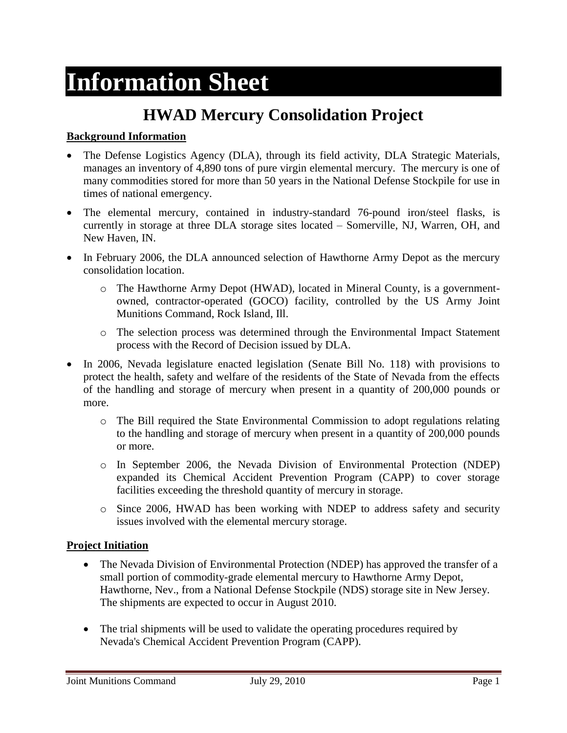# **Information Sheet**

# **HWAD Mercury Consolidation Project**

#### **Background Information**

- The Defense Logistics Agency (DLA), through its field activity, DLA Strategic Materials, manages an inventory of 4,890 tons of pure virgin elemental mercury. The mercury is one of many commodities stored for more than 50 years in the National Defense Stockpile for use in times of national emergency.
- The elemental mercury, contained in industry-standard 76-pound iron/steel flasks, is currently in storage at three DLA storage sites located – Somerville, NJ, Warren, OH, and New Haven, IN.
- In February 2006, the DLA announced selection of Hawthorne Army Depot as the mercury consolidation location.
	- o The Hawthorne Army Depot (HWAD), located in Mineral County, is a governmentowned, contractor-operated (GOCO) facility, controlled by the US Army Joint Munitions Command, Rock Island, Ill.
	- o The selection process was determined through the Environmental Impact Statement process with the Record of Decision issued by DLA.
- In 2006, Nevada legislature enacted legislation (Senate Bill No. 118) with provisions to protect the health, safety and welfare of the residents of the State of Nevada from the effects of the handling and storage of mercury when present in a quantity of 200,000 pounds or more.
	- o The Bill required the State Environmental Commission to adopt regulations relating to the handling and storage of mercury when present in a quantity of 200,000 pounds or more.
	- o In September 2006, the Nevada Division of Environmental Protection (NDEP) expanded its Chemical Accident Prevention Program (CAPP) to cover storage facilities exceeding the threshold quantity of mercury in storage.
	- o Since 2006, HWAD has been working with NDEP to address safety and security issues involved with the elemental mercury storage.

#### **Project Initiation**

- The Nevada Division of Environmental Protection (NDEP) has approved the transfer of a small portion of commodity-grade elemental mercury to Hawthorne Army Depot, Hawthorne, Nev., from a National Defense Stockpile (NDS) storage site in New Jersey. The shipments are expected to occur in August 2010.
- The trial shipments will be used to validate the operating procedures required by Nevada's Chemical Accident Prevention Program (CAPP).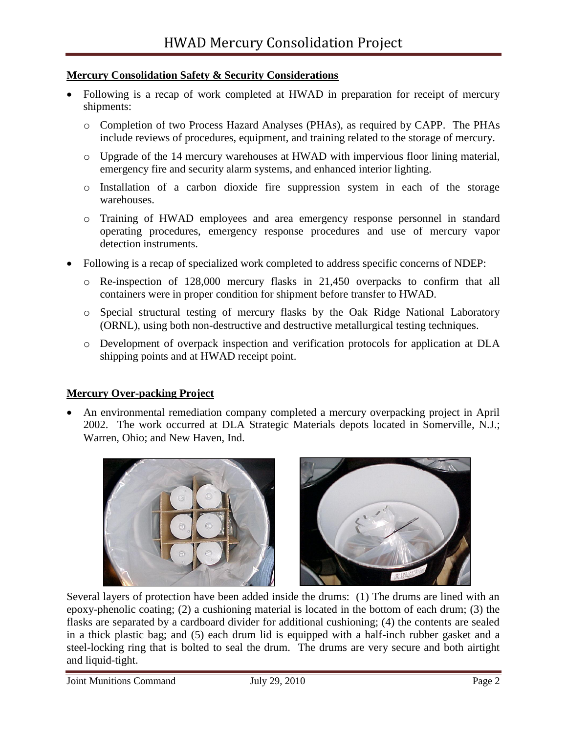#### **Mercury Consolidation Safety & Security Considerations**

- Following is a recap of work completed at HWAD in preparation for receipt of mercury shipments:
	- o Completion of two Process Hazard Analyses (PHAs), as required by CAPP. The PHAs include reviews of procedures, equipment, and training related to the storage of mercury.
	- o Upgrade of the 14 mercury warehouses at HWAD with impervious floor lining material, emergency fire and security alarm systems, and enhanced interior lighting.
	- o Installation of a carbon dioxide fire suppression system in each of the storage warehouses.
	- o Training of HWAD employees and area emergency response personnel in standard operating procedures, emergency response procedures and use of mercury vapor detection instruments.
- Following is a recap of specialized work completed to address specific concerns of NDEP:
	- o Re-inspection of 128,000 mercury flasks in 21,450 overpacks to confirm that all containers were in proper condition for shipment before transfer to HWAD.
	- o Special structural testing of mercury flasks by the Oak Ridge National Laboratory (ORNL), using both non-destructive and destructive metallurgical testing techniques.
	- o Development of overpack inspection and verification protocols for application at DLA shipping points and at HWAD receipt point.

#### **Mercury Over-packing Project**

 An environmental remediation company completed a mercury overpacking project in April 2002. The work occurred at DLA Strategic Materials depots located in Somerville, N.J.; Warren, Ohio; and New Haven, Ind.



Several layers of protection have been added inside the drums: (1) The drums are lined with an epoxy-phenolic coating; (2) a cushioning material is located in the bottom of each drum; (3) the flasks are separated by a cardboard divider for additional cushioning; (4) the contents are sealed in a thick plastic bag; and (5) each drum lid is equipped with a half-inch rubber gasket and a steel-locking ring that is bolted to seal the drum. The drums are very secure and both airtight and liquid-tight.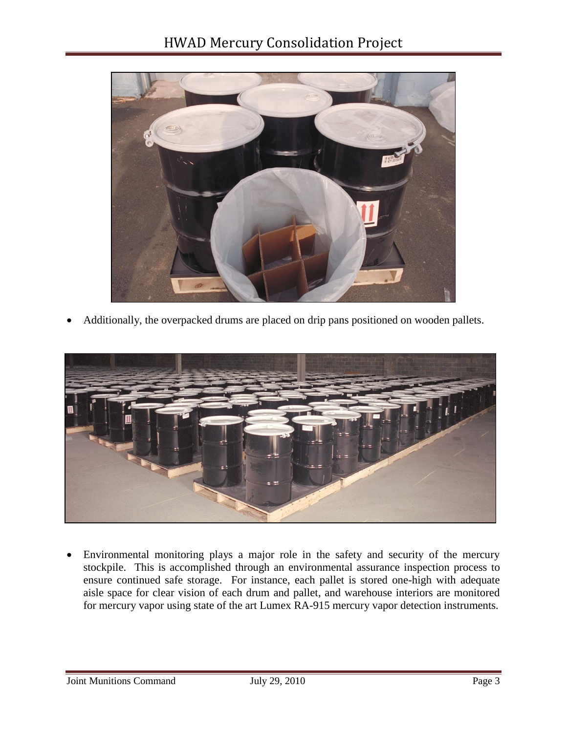

Additionally, the overpacked drums are placed on drip pans positioned on wooden pallets.



 Environmental monitoring plays a major role in the safety and security of the mercury stockpile. This is accomplished through an environmental assurance inspection process to ensure continued safe storage. For instance, each pallet is stored one-high with adequate aisle space for clear vision of each drum and pallet, and warehouse interiors are monitored for mercury vapor using state of the art Lumex RA-915 mercury vapor detection instruments.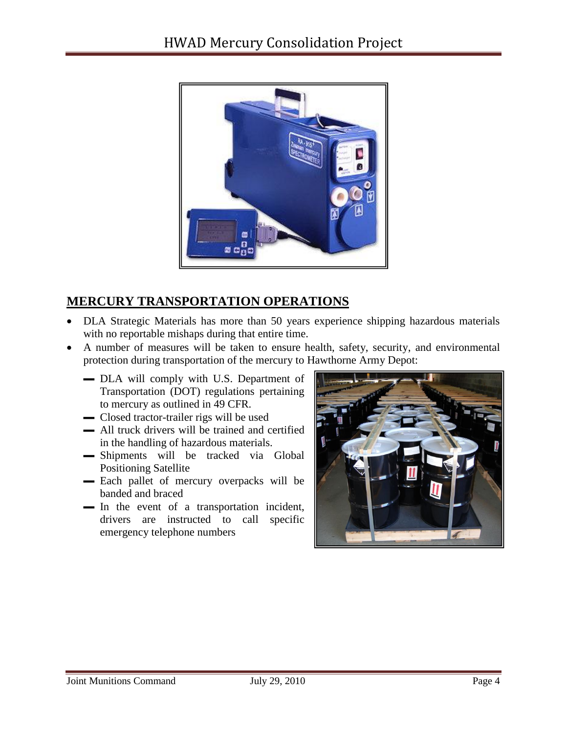

## **MERCURY TRANSPORTATION OPERATIONS**

- DLA Strategic Materials has more than 50 years experience shipping hazardous materials with no reportable mishaps during that entire time.
- A number of measures will be taken to ensure health, safety, security, and environmental protection during transportation of the mercury to Hawthorne Army Depot:
	- ▬ DLA will comply with U.S. Department of Transportation (DOT) regulations pertaining to mercury as outlined in 49 CFR.
	- ▬ Closed tractor-trailer rigs will be used
	- $\blacksquare$  All truck drivers will be trained and certified in the handling of hazardous materials.
	- ▬ Shipments will be tracked via Global Positioning Satellite
	- Each pallet of mercury overpacks will be banded and braced
	- ▬ In the event of a transportation incident, drivers are instructed to call specific emergency telephone numbers